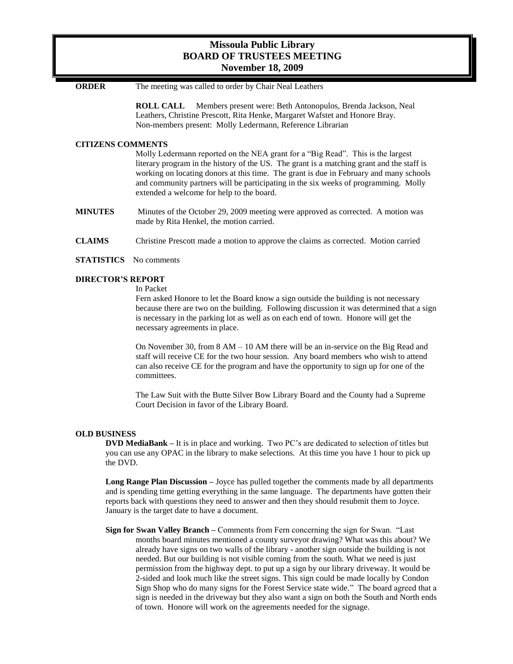# **Missoula Public Library BOARD OF TRUSTEES MEETING November 18, 2009**

**ORDER** The meeting was called to order by Chair Neal Leathers

**ROLL CALL** Members present were: Beth Antonopulos, Brenda Jackson, Neal Leathers, Christine Prescott, Rita Henke, Margaret Wafstet and Honore Bray. Non-members present: Molly Ledermann, Reference Librarian

# **CITIZENS COMMENTS**

Molly Ledermann reported on the NEA grant for a "Big Read". This is the largest literary program in the history of the US. The grant is a matching grant and the staff is working on locating donors at this time. The grant is due in February and many schools and community partners will be participating in the six weeks of programming. Molly extended a welcome for help to the board.

- **MINUTES** Minutes of the October 29, 2009 meeting were approved as corrected. A motion was made by Rita Henkel, the motion carried.
- **CLAIMS** Christine Prescott made a motion to approve the claims as corrected. Motion carried
- **STATISTICS** No comments

# **DIRECTOR'S REPORT**

In Packet

Fern asked Honore to let the Board know a sign outside the building is not necessary because there are two on the building. Following discussion it was determined that a sign is necessary in the parking lot as well as on each end of town. Honore will get the necessary agreements in place.

On November 30, from 8 AM – 10 AM there will be an in-service on the Big Read and staff will receive CE for the two hour session. Any board members who wish to attend can also receive CE for the program and have the opportunity to sign up for one of the committees.

The Law Suit with the Butte Silver Bow Library Board and the County had a Supreme Court Decision in favor of the Library Board.

# **OLD BUSINESS**

**DVD MediaBank –** It is in place and working. Two PC's are dedicated to selection of titles but you can use any OPAC in the library to make selections. At this time you have 1 hour to pick up the DVD.

**Long Range Plan Discussion –** Joyce has pulled together the comments made by all departments and is spending time getting everything in the same language. The departments have gotten their reports back with questions they need to answer and then they should resubmit them to Joyce. January is the target date to have a document.

**Sign for Swan Valley Branch –** Comments from Fern concerning the sign for Swan. "Last months board minutes mentioned a county surveyor drawing? What was this about? We already have signs on two walls of the library - another sign outside the building is not needed. But our building is not visible coming from the south. What we need is just permission from the highway dept. to put up a sign by our library driveway. It would be 2-sided and look much like the street signs. This sign could be made locally by Condon Sign Shop who do many signs for the Forest Service state wide." The board agreed that a sign is needed in the driveway but they also want a sign on both the South and North ends of town. Honore will work on the agreements needed for the signage.